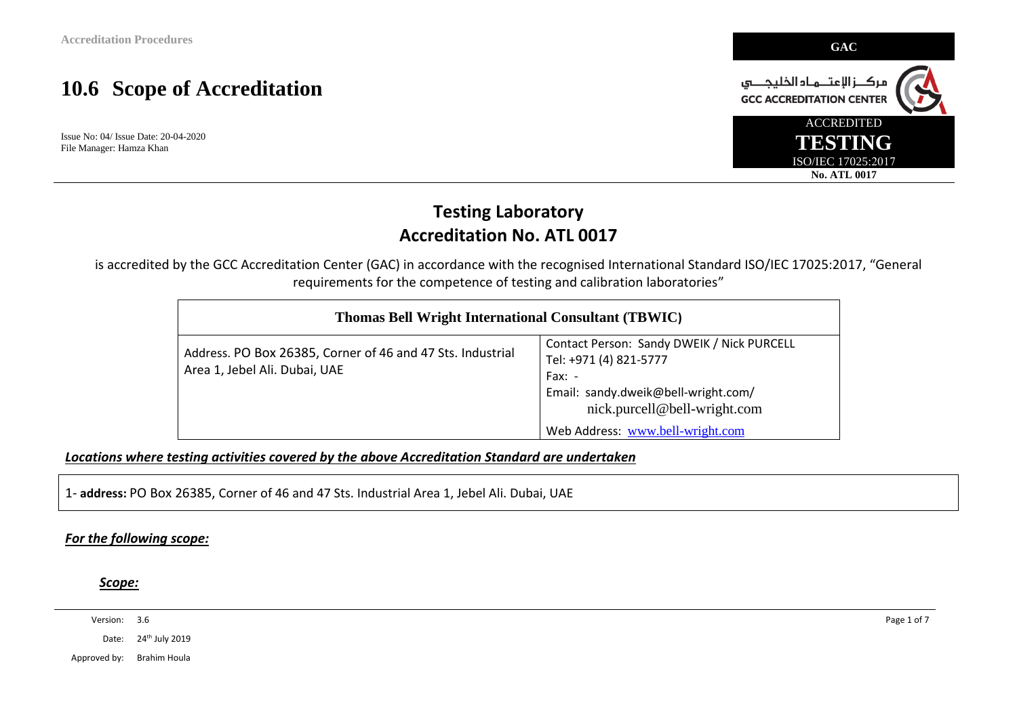Issue No: 04/ Issue Date: 20-04-2020 File Manager: Hamza Khan



### **Testing Laboratory Accreditation No. ATL 0017**

is accredited by the GCC Accreditation Center (GAC) in accordance with the recognised International Standard ISO/IEC 17025:2017, "General requirements for the competence of testing and calibration laboratories"

| <b>Thomas Bell Wright International Consultant (TBWIC)</b>                                  |                                                                                                                                                                                             |  |  |
|---------------------------------------------------------------------------------------------|---------------------------------------------------------------------------------------------------------------------------------------------------------------------------------------------|--|--|
| Address. PO Box 26385, Corner of 46 and 47 Sts. Industrial<br>Area 1, Jebel Ali. Dubai, UAE | Contact Person: Sandy DWEIK / Nick PURCELL<br>Tel: +971 (4) 821-5777<br>$Fax: -$<br>Email: sandy.dweik@bell-wright.com/<br>nick.purcell@bell-wright.com<br>Web Address: www.bell-wright.com |  |  |

*Locations where testing activities covered by the above Accreditation Standard are undertaken*

1- **address:** PO Box 26385, Corner of 46 and 47 Sts. Industrial Area 1, Jebel Ali. Dubai, UAE

#### *For the following scope:*

*Scope:* 

Version: 3.6 Page 1 of 7

Date: 24<sup>th</sup> July 2019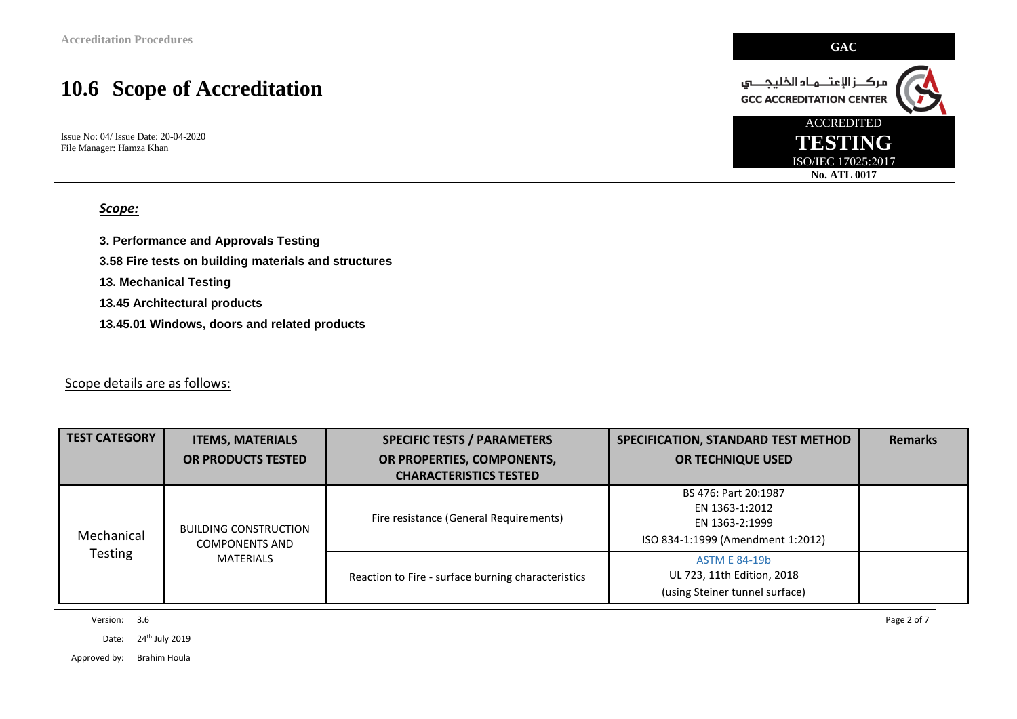Issue No: 04/ Issue Date: 20-04-2020 File Manager: Hamza Khan

#### *Scope:*

**3. Performance and Approvals Testing** 

**3.58 Fire tests on building materials and structures** 

**13. Mechanical Testing** 

**13.45 Architectural products** 

**13.45.01 Windows, doors and related products** 

#### Scope details are as follows:

| <b>TEST CATEGORY</b>         | <b>ITEMS, MATERIALS</b>                               | <b>SPECIFIC TESTS / PARAMETERS</b>                 | SPECIFICATION, STANDARD TEST METHOD                                                           | <b>Remarks</b> |
|------------------------------|-------------------------------------------------------|----------------------------------------------------|-----------------------------------------------------------------------------------------------|----------------|
|                              | OR PRODUCTS TESTED                                    | OR PROPERTIES, COMPONENTS,                         | <b>OR TECHNIQUE USED</b>                                                                      |                |
|                              |                                                       | <b>CHARACTERISTICS TESTED</b>                      |                                                                                               |                |
| Mechanical<br><b>Testing</b> | <b>BUILDING CONSTRUCTION</b><br><b>COMPONENTS AND</b> | Fire resistance (General Requirements)             | BS 476: Part 20:1987<br>EN 1363-1:2012<br>EN 1363-2:1999<br>ISO 834-1:1999 (Amendment 1:2012) |                |
|                              | MATERIALS                                             | Reaction to Fire - surface burning characteristics | <b>ASTM E 84-19b</b><br>UL 723, 11th Edition, 2018<br>(using Steiner tunnel surface)          |                |

Version: 3.6 Page 2 of 7

Date: 24<sup>th</sup> July 2019

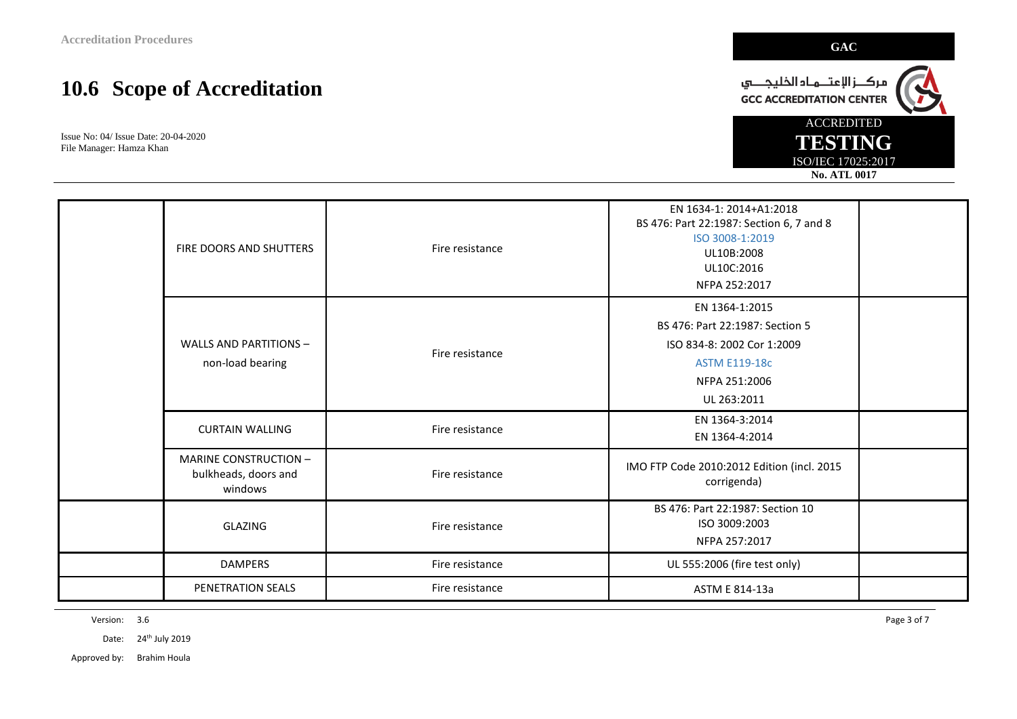Issue No: 04/ Issue Date: 20-04-2020 File Manager: Hamza Khan

|  | FIRE DOORS AND SHUTTERS                                  | Fire resistance | EN 1634-1: 2014+A1:2018<br>BS 476: Part 22:1987: Section 6, 7 and 8<br>ISO 3008-1:2019<br>UL10B:2008<br>UL10C:2016<br>NFPA 252:2017     |  |
|--|----------------------------------------------------------|-----------------|-----------------------------------------------------------------------------------------------------------------------------------------|--|
|  | <b>WALLS AND PARTITIONS -</b><br>non-load bearing        | Fire resistance | EN 1364-1:2015<br>BS 476: Part 22:1987: Section 5<br>ISO 834-8: 2002 Cor 1:2009<br><b>ASTM E119-18c</b><br>NFPA 251:2006<br>UL 263:2011 |  |
|  | <b>CURTAIN WALLING</b>                                   | Fire resistance | EN 1364-3:2014<br>EN 1364-4:2014                                                                                                        |  |
|  | MARINE CONSTRUCTION -<br>bulkheads, doors and<br>windows | Fire resistance | IMO FTP Code 2010:2012 Edition (incl. 2015<br>corrigenda)                                                                               |  |
|  | GLAZING                                                  | Fire resistance | BS 476: Part 22:1987: Section 10<br>ISO 3009:2003<br>NFPA 257:2017                                                                      |  |
|  | <b>DAMPERS</b>                                           | Fire resistance | UL 555:2006 (fire test only)                                                                                                            |  |
|  | PENETRATION SEALS                                        | Fire resistance | ASTM E 814-13a                                                                                                                          |  |

Version: 3.6 Page 3 of 7

Date: 24<sup>th</sup> July 2019

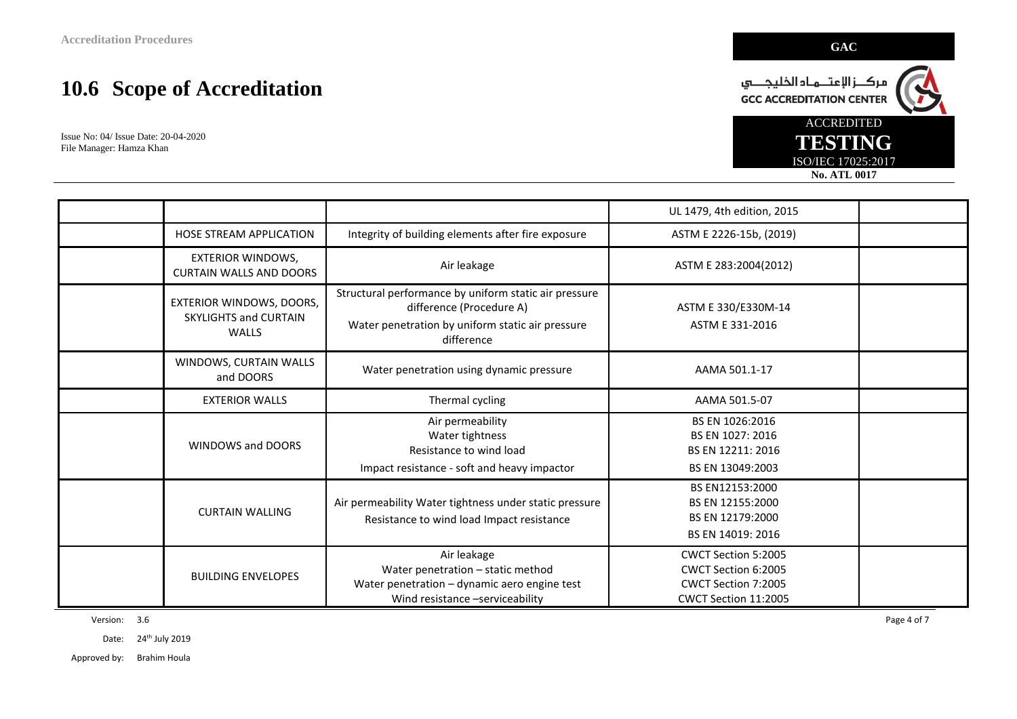Issue No: 04/ Issue Date: 20-04-2020 File Manager: Hamza Khan

|                                                                   |                                                                                                                                                     | UL 1479, 4th edition, 2015                                                                |  |
|-------------------------------------------------------------------|-----------------------------------------------------------------------------------------------------------------------------------------------------|-------------------------------------------------------------------------------------------|--|
| <b>HOSE STREAM APPLICATION</b>                                    | Integrity of building elements after fire exposure                                                                                                  | ASTM E 2226-15b, (2019)                                                                   |  |
| <b>EXTERIOR WINDOWS,</b><br><b>CURTAIN WALLS AND DOORS</b>        | Air leakage                                                                                                                                         | ASTM E 283:2004(2012)                                                                     |  |
| EXTERIOR WINDOWS, DOORS,<br>SKYLIGHTS and CURTAIN<br><b>WALLS</b> | Structural performance by uniform static air pressure<br>difference (Procedure A)<br>Water penetration by uniform static air pressure<br>difference | ASTM E 330/E330M-14<br>ASTM E 331-2016                                                    |  |
| WINDOWS, CURTAIN WALLS<br>and DOORS                               | Water penetration using dynamic pressure                                                                                                            | AAMA 501.1-17                                                                             |  |
| <b>EXTERIOR WALLS</b>                                             | Thermal cycling                                                                                                                                     | AAMA 501.5-07                                                                             |  |
| <b>WINDOWS and DOORS</b>                                          | Air permeability<br>Water tightness<br>Resistance to wind load<br>Impact resistance - soft and heavy impactor                                       | BS EN 1026:2016<br>BS EN 1027: 2016<br>BS EN 12211: 2016<br>BS EN 13049:2003              |  |
| <b>CURTAIN WALLING</b>                                            | Air permeability Water tightness under static pressure<br>Resistance to wind load Impact resistance                                                 | BS EN12153:2000<br>BS EN 12155:2000<br>BS EN 12179:2000<br>BS EN 14019: 2016              |  |
| <b>BUILDING ENVELOPES</b>                                         | Air leakage<br>Water penetration - static method<br>Water penetration - dynamic aero engine test<br>Wind resistance -serviceability                 | CWCT Section 5:2005<br>CWCT Section 6:2005<br>CWCT Section 7:2005<br>CWCT Section 11:2005 |  |

Version: 3.6 Page 4 of 7

Date: 24<sup>th</sup> July 2019

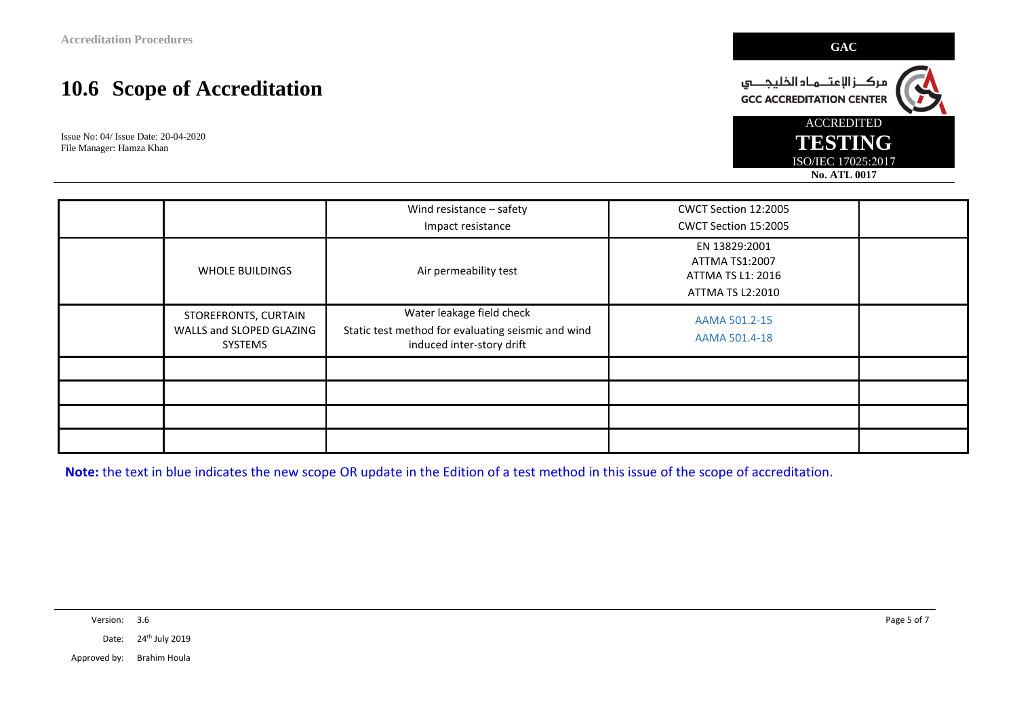Issue No: 04/ Issue Date: 20-04-2020 File Manager: Hamza Khan

|                                                             | Wind resistance - safety                                                                                     | CWCT Section 12:2005                                                     |  |
|-------------------------------------------------------------|--------------------------------------------------------------------------------------------------------------|--------------------------------------------------------------------------|--|
|                                                             | Impact resistance                                                                                            | CWCT Section 15:2005                                                     |  |
| <b>WHOLE BUILDINGS</b>                                      | Air permeability test                                                                                        | EN 13829:2001<br>ATTMA TS1:2007<br>ATTMA TS L1: 2016<br>ATTMA TS L2:2010 |  |
| STOREFRONTS, CURTAIN<br>WALLS and SLOPED GLAZING<br>SYSTEMS | Water leakage field check<br>Static test method for evaluating seismic and wind<br>induced inter-story drift | AAMA 501.2-15<br>AAMA 501.4-18                                           |  |
|                                                             |                                                                                                              |                                                                          |  |
|                                                             |                                                                                                              |                                                                          |  |
|                                                             |                                                                                                              |                                                                          |  |
|                                                             |                                                                                                              |                                                                          |  |

**Note:** the text in blue indicates the new scope OR update in the Edition of a test method in this issue of the scope of accreditation.

Version: 3.6 Page 5 of 7

Date: 24<sup>th</sup> July 2019

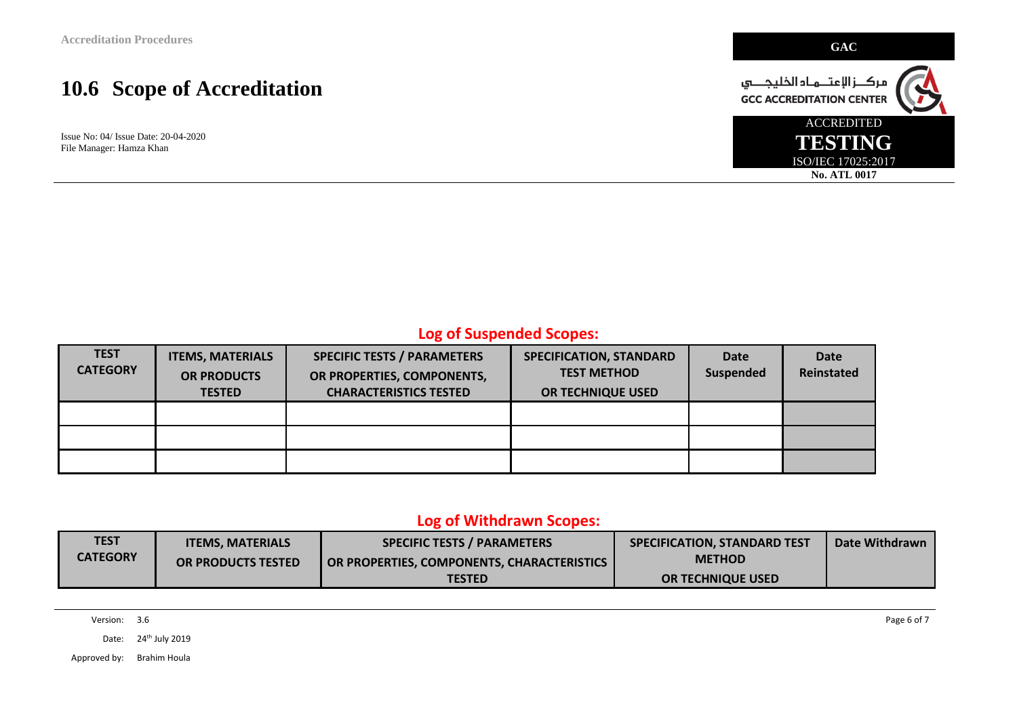Issue No: 04/ Issue Date: 20-04-2020 File Manager: Hamza Khan



### **Log of Suspended Scopes:**

| <b>TEST</b><br><b>CATEGORY</b> | <b>ITEMS, MATERIALS</b><br><b>OR PRODUCTS</b><br><b>TESTED</b> | <b>SPECIFIC TESTS / PARAMETERS</b><br>OR PROPERTIES, COMPONENTS,<br><b>CHARACTERISTICS TESTED</b> | SPECIFICATION, STANDARD<br><b>TEST METHOD</b><br>OR TECHNIQUE USED | Date<br>Suspended | <b>Date</b><br>Reinstated |
|--------------------------------|----------------------------------------------------------------|---------------------------------------------------------------------------------------------------|--------------------------------------------------------------------|-------------------|---------------------------|
|                                |                                                                |                                                                                                   |                                                                    |                   |                           |
|                                |                                                                |                                                                                                   |                                                                    |                   |                           |
|                                |                                                                |                                                                                                   |                                                                    |                   |                           |

#### **Log of Withdrawn Scopes:**

| TEST            | <b>ITEMS, MATERIALS</b> | <b>SPECIFIC TESTS / PARAMETERS</b>         | SPECIFICATION, STANDARD TEST | Date Withdrawn |
|-----------------|-------------------------|--------------------------------------------|------------------------------|----------------|
| <b>CATEGORY</b> | OR PRODUCTS TESTED      | OR PROPERTIES, COMPONENTS, CHARACTERISTICS | <b>METHOD</b>                |                |
|                 |                         | TESTED                                     | <b>OR TECHNIQUE USED</b>     |                |

Version: 3.6 Page 6 of 7

Date: 24<sup>th</sup> July 2019